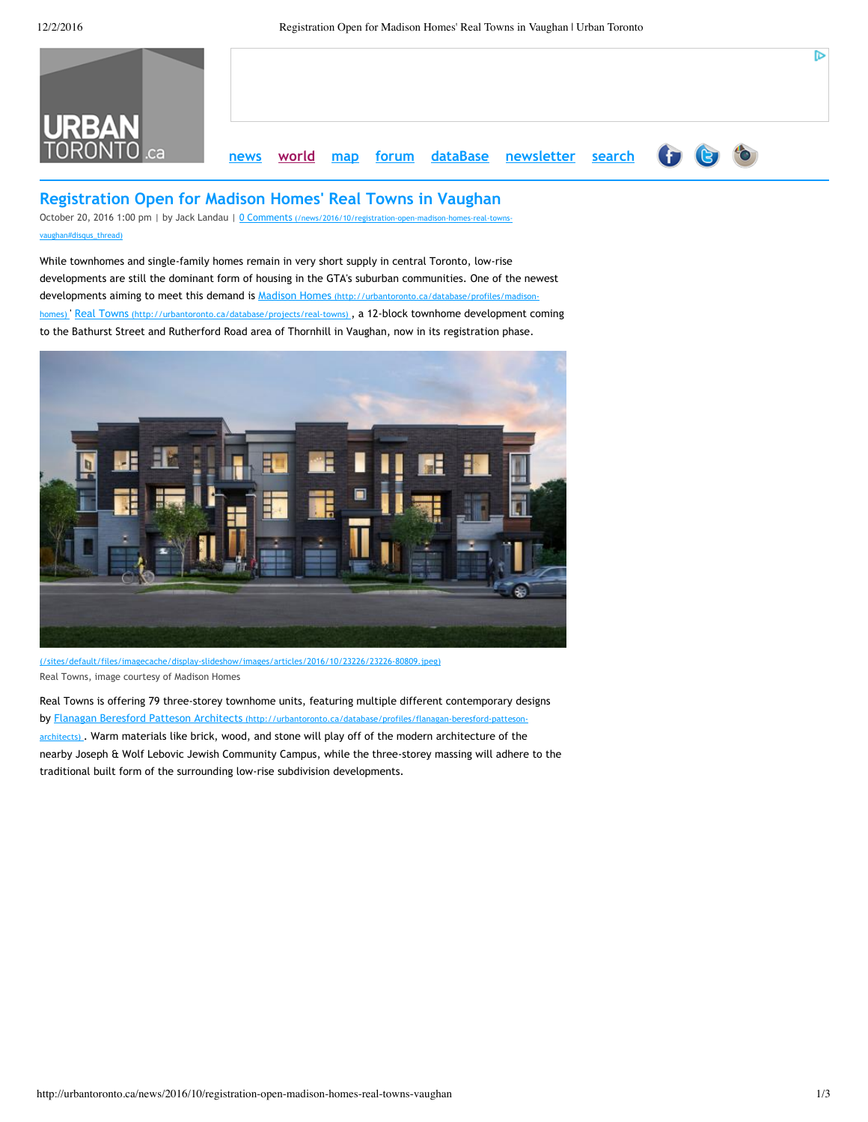

# **Registration Open for Madison Homes' Real Towns in Vaughan**

October 20, 2016 1:00 pm | by Jack Landau | 0 Comments (/news/2016/10/registration-open-madison-homes-real-townsvaughan#disqus\_thread)

While townhomes and single‐family homes remain in very short supply in central Toronto, low‐rise developments are still the dominant form of housing in the GTA's suburban communities. One of the newest [developments aiming to meet this demand is Madison Homes](http://urbantoronto.ca/database/profiles/madison-homes) (http://urbantoronto.ca/database/profiles/madisonhomes) ' Real Towns (http://urbantoronto.ca/database/projects/real-towns), a 12-block townhome development coming to the Bathurst Street and Rutherford Road area of Thornhill in Vaughan, now in its registration phase.



[\(/sites/default/files/imagecache/display‐slideshow/images/articles/2016/10/23226/23226‐80809.jpeg\)](http://urbantoronto.ca/sites/default/files/imagecache/display-slideshow/images/articles/2016/10/23226/23226-80809.jpeg) Real Towns, image courtesy of Madison Homes

Real Towns is offering 79 three‐storey townhome units, featuring multiple different contemporary designs by Flanagan Beresford Patteson Architects (http://urbantoronto.ca/database/profiles/flanagan-beresford-patteson-architects)[. Warm materials like brick, wood, and stone will play off of the modern architecture of the](http://urbantoronto.ca/database/profiles/flanagan-beresford-patteson-architects) nearby Joseph & Wolf Lebovic Jewish Community Campus, while the three‐storey massing will adhere to the traditional built form of the surrounding low‐rise subdivision developments.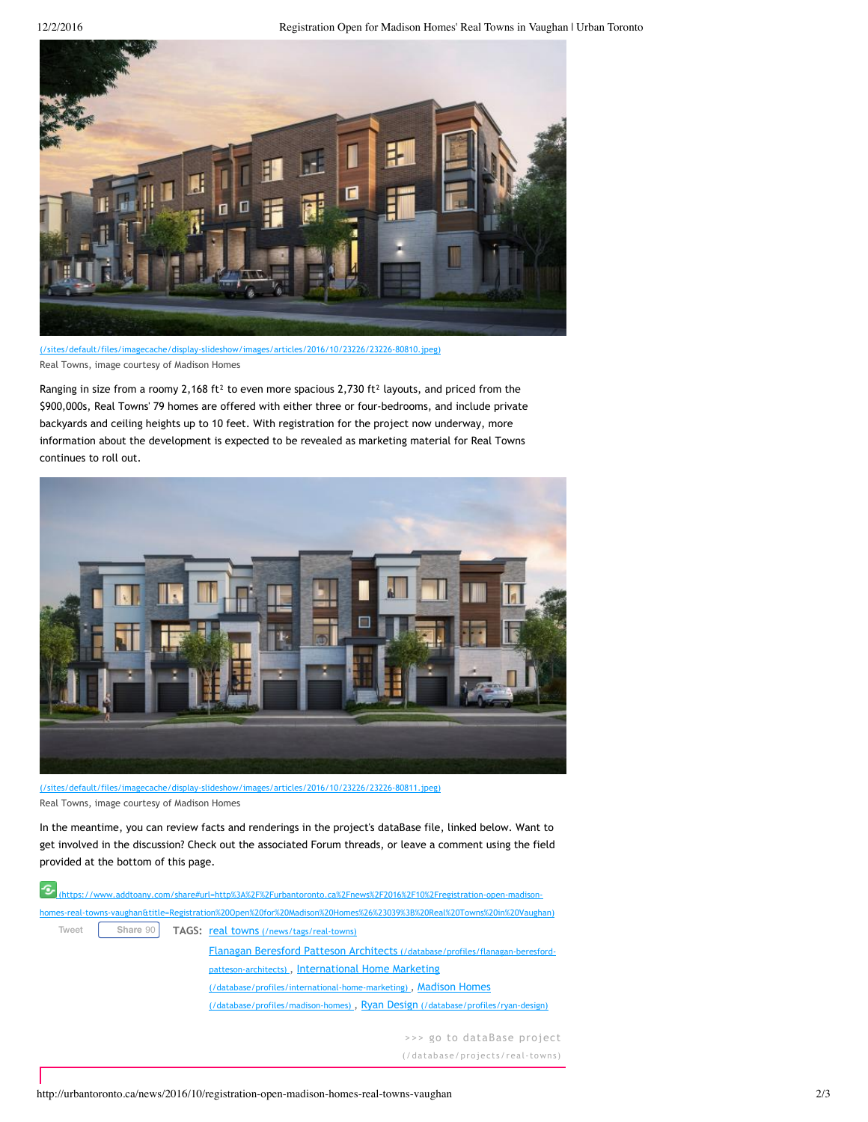12/2/2016 Registration Open for Madison Homes' Real Towns in Vaughan | Urban Toronto



[\(/sites/default/files/imagecache/display‐slideshow/images/articles/2016/10/23226/23226‐80810.jpeg\)](http://urbantoronto.ca/sites/default/files/imagecache/display-slideshow/images/articles/2016/10/23226/23226-80810.jpeg) Real Towns, image courtesy of Madison Homes

Ranging in size from a roomy 2,168 ft<sup>2</sup> to even more spacious 2,730 ft<sup>2</sup> layouts, and priced from the \$900,000s, Real Towns' 79 homes are offered with either three or four‐bedrooms, and include private backyards and ceiling heights up to 10 feet. With registration for the project now underway, more information about the development is expected to be revealed as marketing material for Real Towns continues to roll out.



[\(/sites/default/files/imagecache/display‐slideshow/images/articles/2016/10/23226/23226‐80811.jpeg\)](http://urbantoronto.ca/sites/default/files/imagecache/display-slideshow/images/articles/2016/10/23226/23226-80811.jpeg) Real Towns, image courtesy of Madison Homes

In the meantime, you can review facts and renderings in the project's dataBase file, linked below. Want to get involved in the discussion? Check out the associated Forum threads, or leave a comment using the field provided at the bottom of this page.

|       |          | (https://www.addtoany.com/share#url=http%3A%2F%2Furbantoronto.ca%2Fnews%2F2016%2F10%2Fregistration-open-madison-      |
|-------|----------|-----------------------------------------------------------------------------------------------------------------------|
|       |          | homes-real-towns-vaughan&title=Registration%20Open%20for%20Madison%20Homes%26%23039%3B%20Real%20Towns%20in%20Vaughan) |
| Tweet | Share 90 | TAGS: real towns (/news/tags/real-towns)                                                                              |
|       |          | Flanagan Beresford Patteson Architects (/database/profiles/flanagan-beresford-                                        |
|       |          | patteson-architects), International Home Marketing                                                                    |
|       |          | (/database/profiles/international-home-marketing), Madison Homes                                                      |
|       |          | (/database/profiles/madison-homes), Ryan Design (/database/profiles/ryan-design)                                      |
|       |          |                                                                                                                       |
|       |          | . Dese musical                                                                                                        |

>>> go to dataBase project

[\(/database/projec](http://urbantoronto.ca/database/projects/real-towns)ts/real-towns)